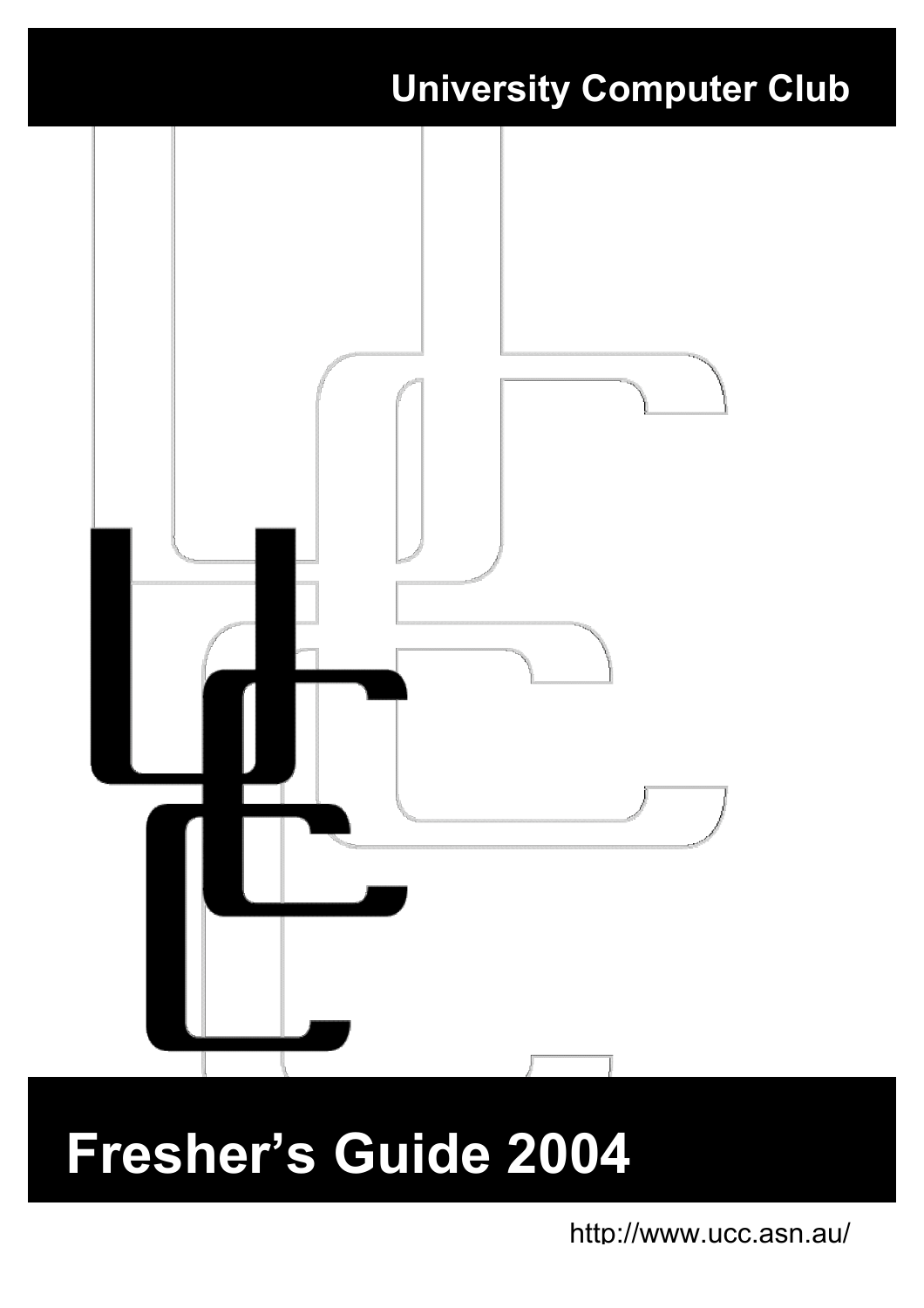

# **Fresher's Guide 2004**

http://www.ucc.asn.au/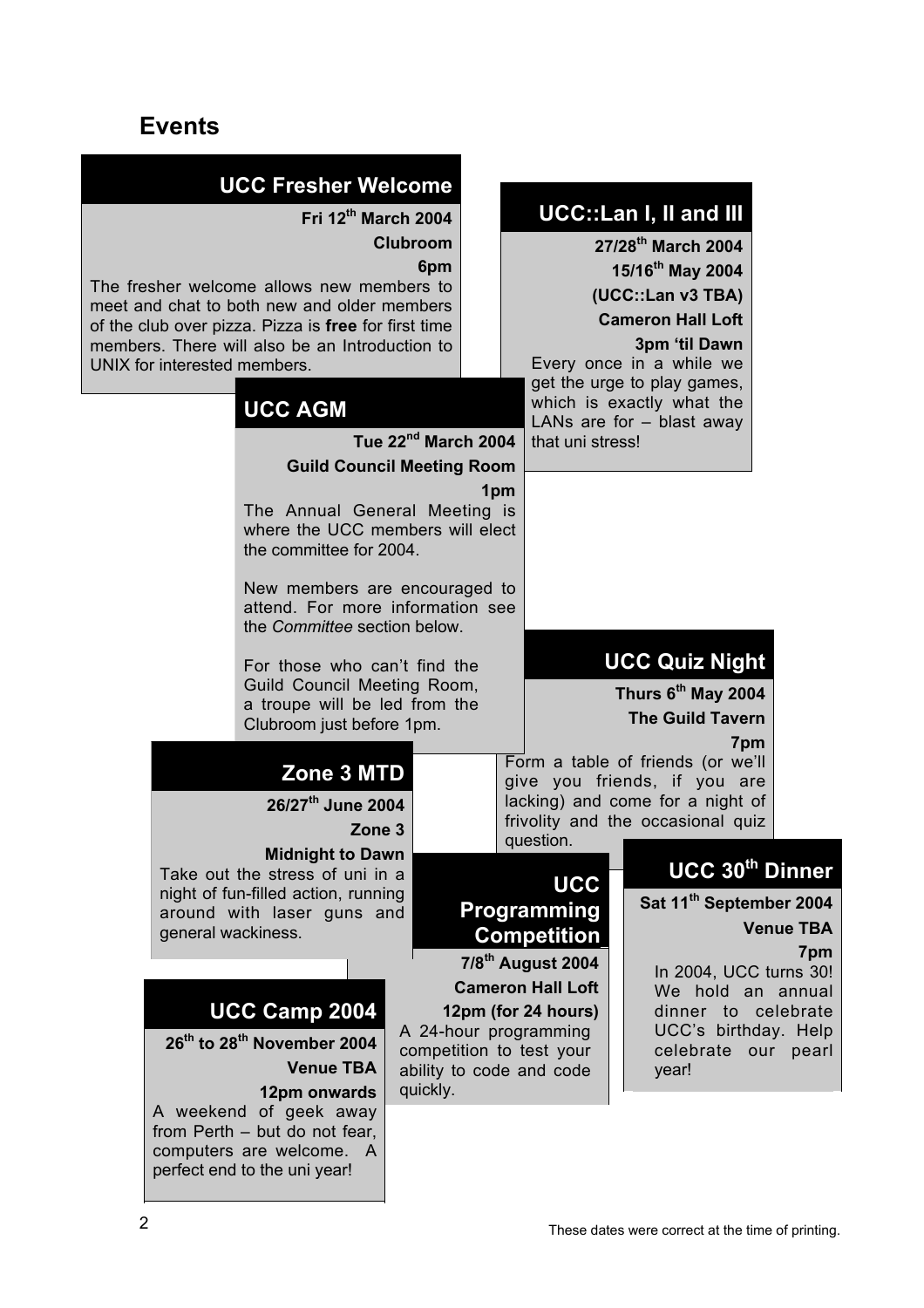# **Events**

| <b>UCC Fresher Welcome</b><br>Fri 12th March 2004<br>Clubroom<br>6pm<br>The fresher welcome allows new members to<br>meet and chat to both new and older members<br>of the club over pizza. Pizza is free for first time<br>members. There will also be an Introduction to<br>UNIX for interested members. |  |                                                                                                                                                                                    |                                                                               |  | <b>UCC::Lan I, II and III</b><br>27/28 <sup>th</sup> March 2004<br>15/16 <sup>th</sup> May 2004<br>(UCC::Lan v3 TBA)<br><b>Cameron Hall Loft</b><br>3pm 'til Dawn<br>Every once in a while we<br>get the urge to play games, |                                                                                                                                                                   |                         |
|------------------------------------------------------------------------------------------------------------------------------------------------------------------------------------------------------------------------------------------------------------------------------------------------------------|--|------------------------------------------------------------------------------------------------------------------------------------------------------------------------------------|-------------------------------------------------------------------------------|--|------------------------------------------------------------------------------------------------------------------------------------------------------------------------------------------------------------------------------|-------------------------------------------------------------------------------------------------------------------------------------------------------------------|-------------------------|
|                                                                                                                                                                                                                                                                                                            |  | <b>UCC AGM</b>                                                                                                                                                                     |                                                                               |  |                                                                                                                                                                                                                              | which is exactly what the<br>LANs are for $-$ blast away                                                                                                          |                         |
|                                                                                                                                                                                                                                                                                                            |  |                                                                                                                                                                                    | Tue 22 <sup>nd</sup> March 2004                                               |  | that uni stress!                                                                                                                                                                                                             |                                                                                                                                                                   |                         |
|                                                                                                                                                                                                                                                                                                            |  | <b>Guild Council Meeting Room</b>                                                                                                                                                  |                                                                               |  |                                                                                                                                                                                                                              |                                                                                                                                                                   |                         |
|                                                                                                                                                                                                                                                                                                            |  | 1 <sub>pm</sub><br>The Annual General Meeting is<br>where the UCC members will elect<br>the committee for 2004.                                                                    |                                                                               |  |                                                                                                                                                                                                                              |                                                                                                                                                                   |                         |
| New members are encouraged to<br>attend. For more information see<br>the Committee section below.                                                                                                                                                                                                          |  |                                                                                                                                                                                    |                                                                               |  |                                                                                                                                                                                                                              |                                                                                                                                                                   |                         |
|                                                                                                                                                                                                                                                                                                            |  | For those who can't find the<br>Guild Council Meeting Room,<br>a troupe will be led from the<br>Clubroom just before 1pm.                                                          |                                                                               |  |                                                                                                                                                                                                                              | <b>UCC Quiz Night</b><br>Thurs 6 <sup>th</sup> May 2004<br><b>The Guild Tavern</b><br>7pm                                                                         |                         |
|                                                                                                                                                                                                                                                                                                            |  | Zone 3 MTD<br>26/27 <sup>th</sup> June 2004<br>Zone 3                                                                                                                              |                                                                               |  | question.                                                                                                                                                                                                                    | Form a table of friends (or we'll<br>give you friends, if you are<br>lacking) and come for a night of<br>frivolity and the occasional quiz                        |                         |
|                                                                                                                                                                                                                                                                                                            |  | <b>Midnight to Dawn</b><br>Take out the stress of uni in a                                                                                                                         |                                                                               |  |                                                                                                                                                                                                                              | UCC 30th Dinner                                                                                                                                                   |                         |
|                                                                                                                                                                                                                                                                                                            |  | night of fun-filled action, running<br>around with laser guns and<br>general wackiness.<br>UCC Camp 2004<br>26 <sup>th</sup> to 28 <sup>th</sup> November 2004<br><b>Venue TBA</b> | A 24-hour programming<br>competition to test your<br>ability to code and code |  | <b>UCC</b><br><b>Programming</b><br>Competition<br>$7/8th$ August 2004<br><b>Cameron Hall Loft</b><br>12pm (for 24 hours)                                                                                                    | Sat 11 <sup>th</sup> September 2004<br>In 2004, UCC turns 30!<br>We hold an annual<br>dinner to celebrate<br>UCC's birthday. Help<br>celebrate our pearl<br>year! | <b>Venue TBA</b><br>7pm |
|                                                                                                                                                                                                                                                                                                            |  | 12pm onwards<br>A weekend of geek away<br>from Perth - but do not fear,<br>computers are welcome. A<br>perfect end to the uni year!                                                | quickly.                                                                      |  |                                                                                                                                                                                                                              |                                                                                                                                                                   |                         |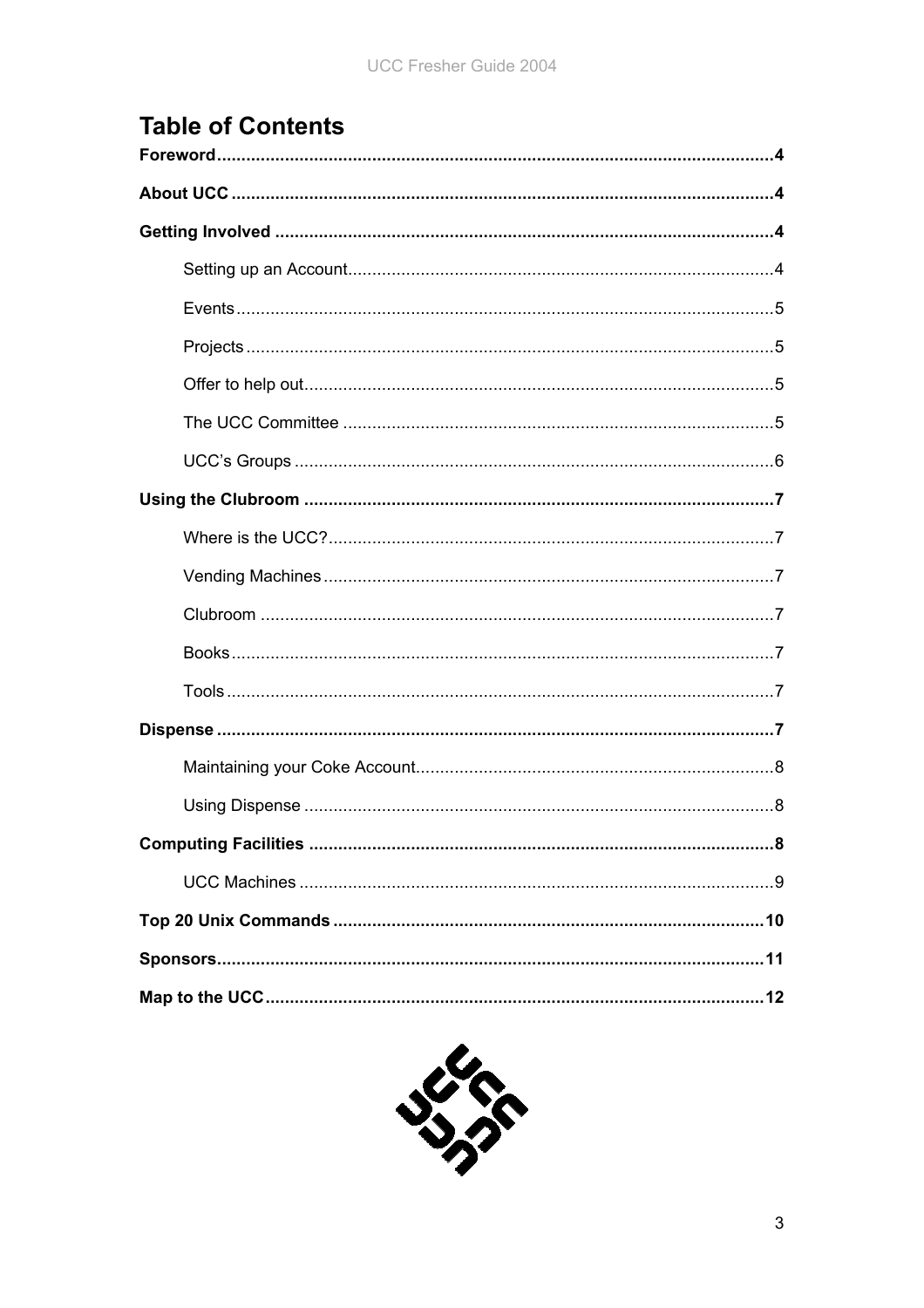# **Table of Contents**

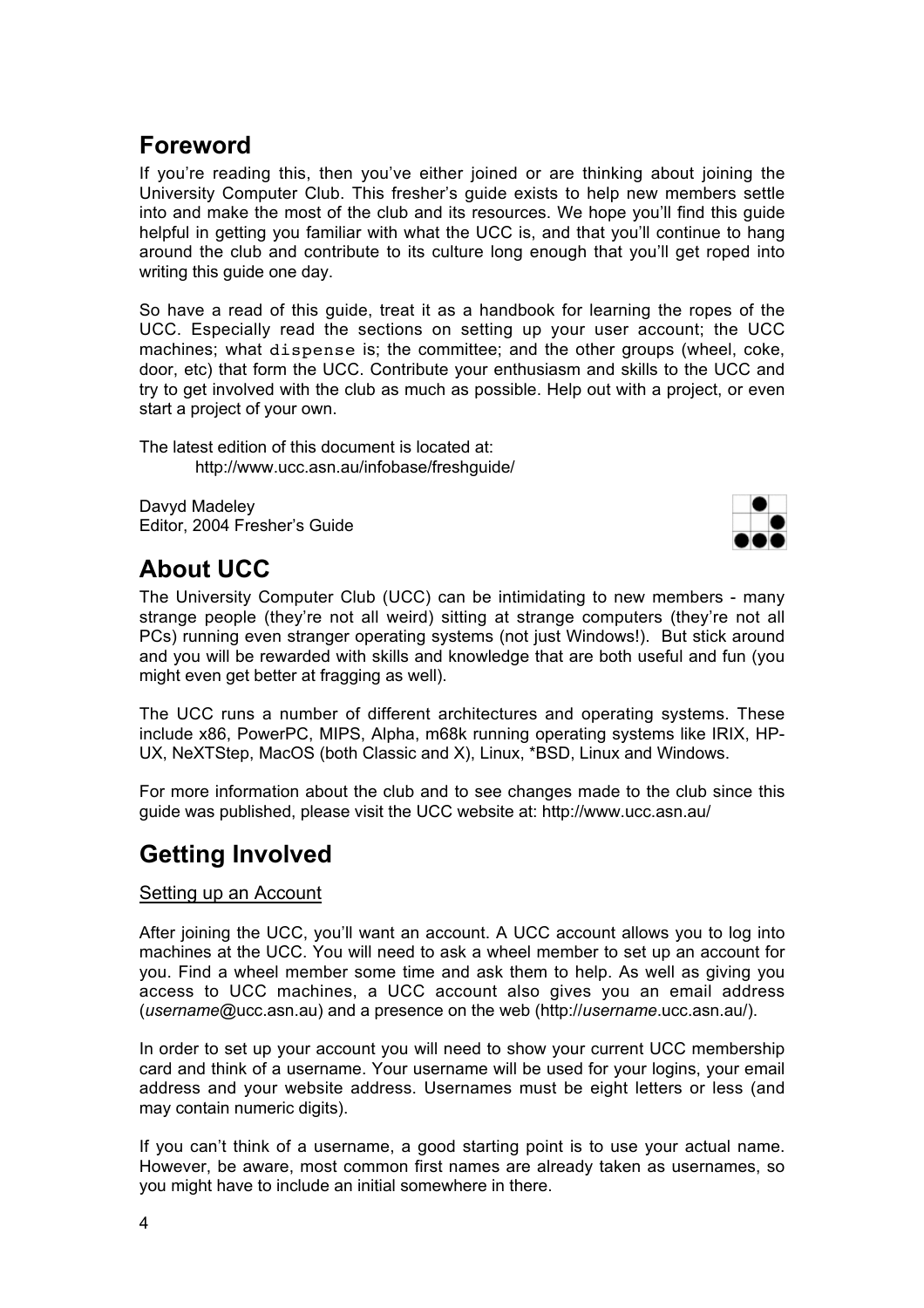## **Foreword**

If you're reading this, then you've either joined or are thinking about joining the University Computer Club. This fresher's guide exists to help new members settle into and make the most of the club and its resources. We hope you'll find this guide helpful in getting you familiar with what the UCC is, and that you'll continue to hang around the club and contribute to its culture long enough that you'll get roped into writing this guide one day.

So have a read of this guide, treat it as a handbook for learning the ropes of the UCC. Especially read the sections on setting up your user account; the UCC machines; what dispense is; the committee; and the other groups (wheel, coke, door, etc) that form the UCC. Contribute your enthusiasm and skills to the UCC and try to get involved with the club as much as possible. Help out with a project, or even start a project of your own.

The latest edition of this document is located at: http://www.ucc.asn.au/infobase/freshguide/

Davyd Madeley Editor, 2004 Fresher's Guide



## **About UCC**

The University Computer Club (UCC) can be intimidating to new members - many strange people (they're not all weird) sitting at strange computers (they're not all PCs) running even stranger operating systems (not just Windows!). But stick around and you will be rewarded with skills and knowledge that are both useful and fun (you might even get better at fragging as well).

The UCC runs a number of different architectures and operating systems. These include x86, PowerPC, MIPS, Alpha, m68k running operating systems like IRIX, HP-UX, NeXTStep, MacOS (both Classic and X), Linux, \*BSD, Linux and Windows.

For more information about the club and to see changes made to the club since this guide was published, please visit the UCC website at: http://www.ucc.asn.au/

## **Getting Involved**

#### Setting up an Account

After joining the UCC, you'll want an account. A UCC account allows you to log into machines at the UCC. You will need to ask a wheel member to set up an account for you. Find a wheel member some time and ask them to help. As well as giving you access to UCC machines, a UCC account also gives you an email address (*username*@ucc.asn.au) and a presence on the web (http://*username*.ucc.asn.au/).

In order to set up your account you will need to show your current UCC membership card and think of a username. Your username will be used for your logins, your email address and your website address. Usernames must be eight letters or less (and may contain numeric digits).

If you can't think of a username, a good starting point is to use your actual name. However, be aware, most common first names are already taken as usernames, so you might have to include an initial somewhere in there.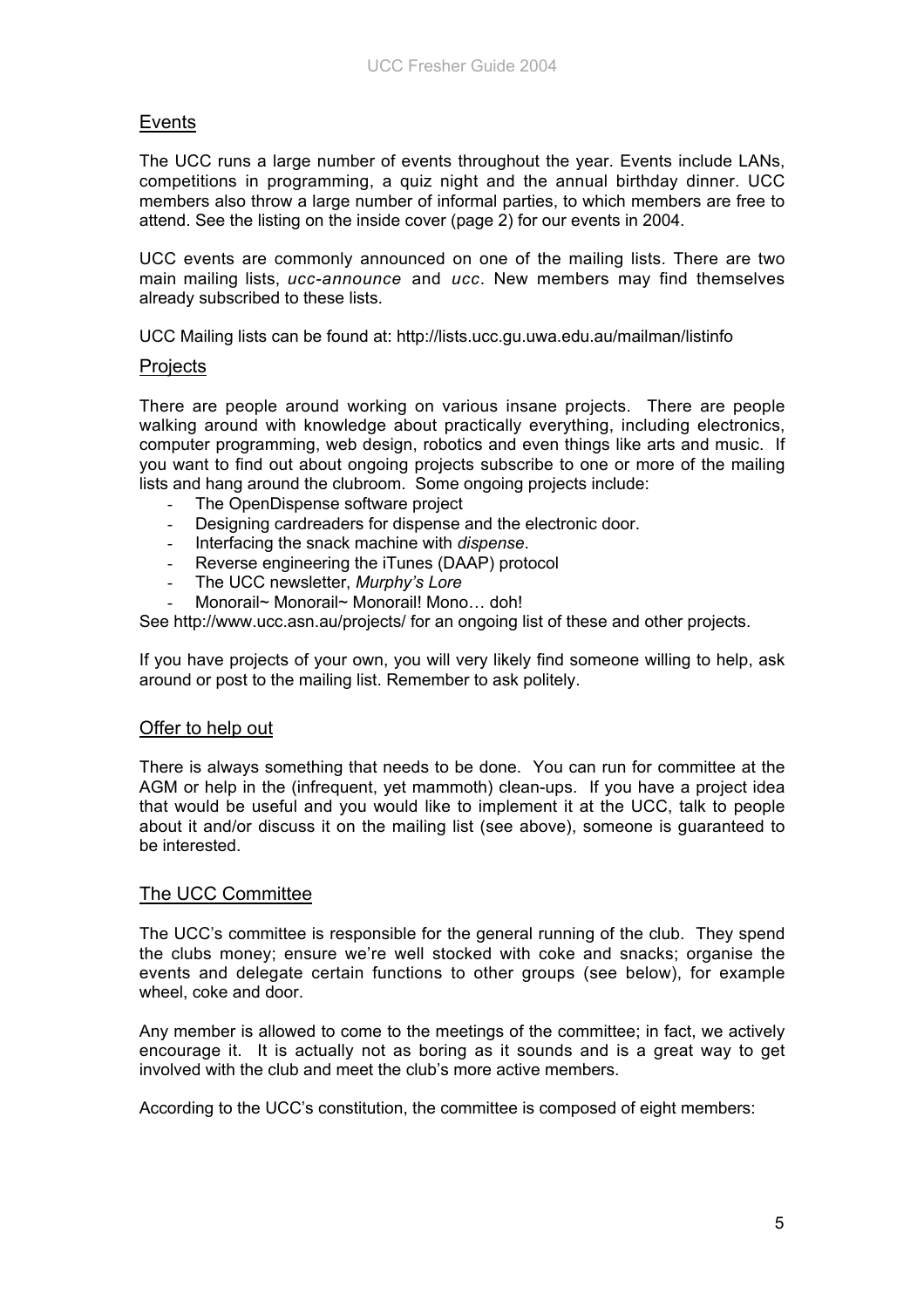#### Events

The UCC runs a large number of events throughout the year. Events include LANs, competitions in programming, a quiz night and the annual birthday dinner. UCC members also throw a large number of informal parties, to which members are free to attend. See the listing on the inside cover (page 2) for our events in 2004.

UCC events are commonly announced on one of the mailing lists. There are two main mailing lists, *ucc-announce* and *ucc*. New members may find themselves already subscribed to these lists.

UCC Mailing lists can be found at: http://lists.ucc.gu.uwa.edu.au/mailman/listinfo

#### **Projects**

There are people around working on various insane projects. There are people walking around with knowledge about practically everything, including electronics, computer programming, web design, robotics and even things like arts and music. If you want to find out about ongoing projects subscribe to one or more of the mailing lists and hang around the clubroom. Some ongoing projects include:

- The OpenDispense software project
- Designing cardreaders for dispense and the electronic door.
- Interfacing the snack machine with *dispense*.
- Reverse engineering the iTunes (DAAP) protocol
- The UCC newsletter, *Murphy's Lore*
- Monorail~ Monorail~ Monorail! Mono... doh!

See http://www.ucc.asn.au/projects/ for an ongoing list of these and other projects.

If you have projects of your own, you will very likely find someone willing to help, ask around or post to the mailing list. Remember to ask politely.

#### Offer to help out

There is always something that needs to be done. You can run for committee at the AGM or help in the (infrequent, yet mammoth) clean-ups. If you have a project idea that would be useful and you would like to implement it at the UCC, talk to people about it and/or discuss it on the mailing list (see above), someone is guaranteed to be interested.

#### The UCC Committee

The UCC's committee is responsible for the general running of the club. They spend the clubs money; ensure we're well stocked with coke and snacks; organise the events and delegate certain functions to other groups (see below), for example wheel, coke and door.

Any member is allowed to come to the meetings of the committee; in fact, we actively encourage it. It is actually not as boring as it sounds and is a great way to get involved with the club and meet the club's more active members.

According to the UCC's constitution, the committee is composed of eight members: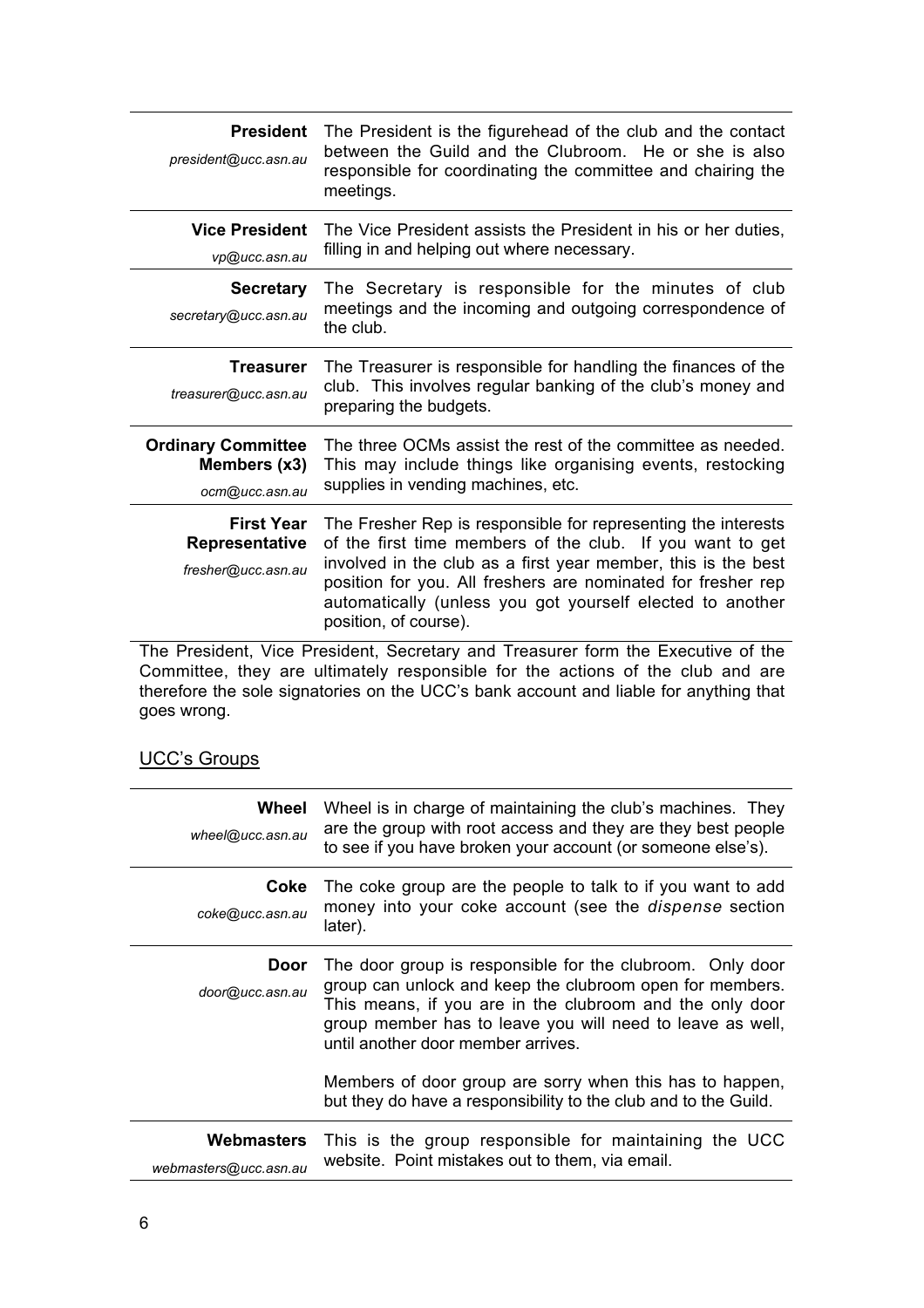| <b>President</b><br>president@ucc.asn.au                                         | The President is the figurehead of the club and the contact<br>between the Guild and the Clubroom. He or she is also<br>responsible for coordinating the committee and chairing the<br>meetings.                                                                                                                                                  |  |
|----------------------------------------------------------------------------------|---------------------------------------------------------------------------------------------------------------------------------------------------------------------------------------------------------------------------------------------------------------------------------------------------------------------------------------------------|--|
| <b>Vice President</b><br>vp@ucc.asn.au                                           | The Vice President assists the President in his or her duties,<br>filling in and helping out where necessary.                                                                                                                                                                                                                                     |  |
| <b>Secretary</b><br>secretary@ucc.asn.au                                         | The Secretary is responsible for the minutes of club<br>meetings and the incoming and outgoing correspondence of<br>the club.                                                                                                                                                                                                                     |  |
| Treasurer<br>treasurer@ucc.asn.au                                                | The Treasurer is responsible for handling the finances of the<br>club. This involves regular banking of the club's money and<br>preparing the budgets.                                                                                                                                                                                            |  |
| <b>Ordinary Committee</b><br>Members (x3)<br>ocm@ucc.asn.au                      | The three OCMs assist the rest of the committee as needed.<br>This may include things like organising events, restocking<br>supplies in vending machines, etc.                                                                                                                                                                                    |  |
| <b>First Year</b><br>Representative<br>fresher@ucc.asn.au                        | The Fresher Rep is responsible for representing the interests<br>of the first time members of the club. If you want to get<br>involved in the club as a first year member, this is the best<br>position for you. All freshers are nominated for fresher rep<br>automatically (unless you got yourself elected to another<br>position, of course). |  |
| The President, Vice President, Secretary and Treasurer form the Executive of the |                                                                                                                                                                                                                                                                                                                                                   |  |

The President, Vice President, Secretary and Treasurer form the Executive of the Committee, they are ultimately responsible for the actions of the club and are therefore the sole signatories on the UCC's bank account and liable for anything that goes wrong.

### UCC's Groups

| Wheel<br>wheel@ucc.asn.au                  | Wheel is in charge of maintaining the club's machines. They<br>are the group with root access and they are they best people<br>to see if you have broken your account (or someone else's).                                                                                                                                                       |
|--------------------------------------------|--------------------------------------------------------------------------------------------------------------------------------------------------------------------------------------------------------------------------------------------------------------------------------------------------------------------------------------------------|
| Coke<br>coke@ucc.asn.au                    | The coke group are the people to talk to if you want to add<br>money into your coke account (see the <i>dispense</i> section<br>later).                                                                                                                                                                                                          |
| Door<br>door@ucc.asn.au                    | The door group is responsible for the clubroom. Only door<br>group can unlock and keep the clubroom open for members.<br>This means, if you are in the clubroom and the only door<br>group member has to leave you will need to leave as well,<br>until another door member arrives.<br>Members of door group are sorry when this has to happen, |
|                                            | but they do have a responsibility to the club and to the Guild.                                                                                                                                                                                                                                                                                  |
| <b>Webmasters</b><br>webmasters@ucc.asn.au | This is the group responsible for maintaining the UCC<br>website. Point mistakes out to them, via email.                                                                                                                                                                                                                                         |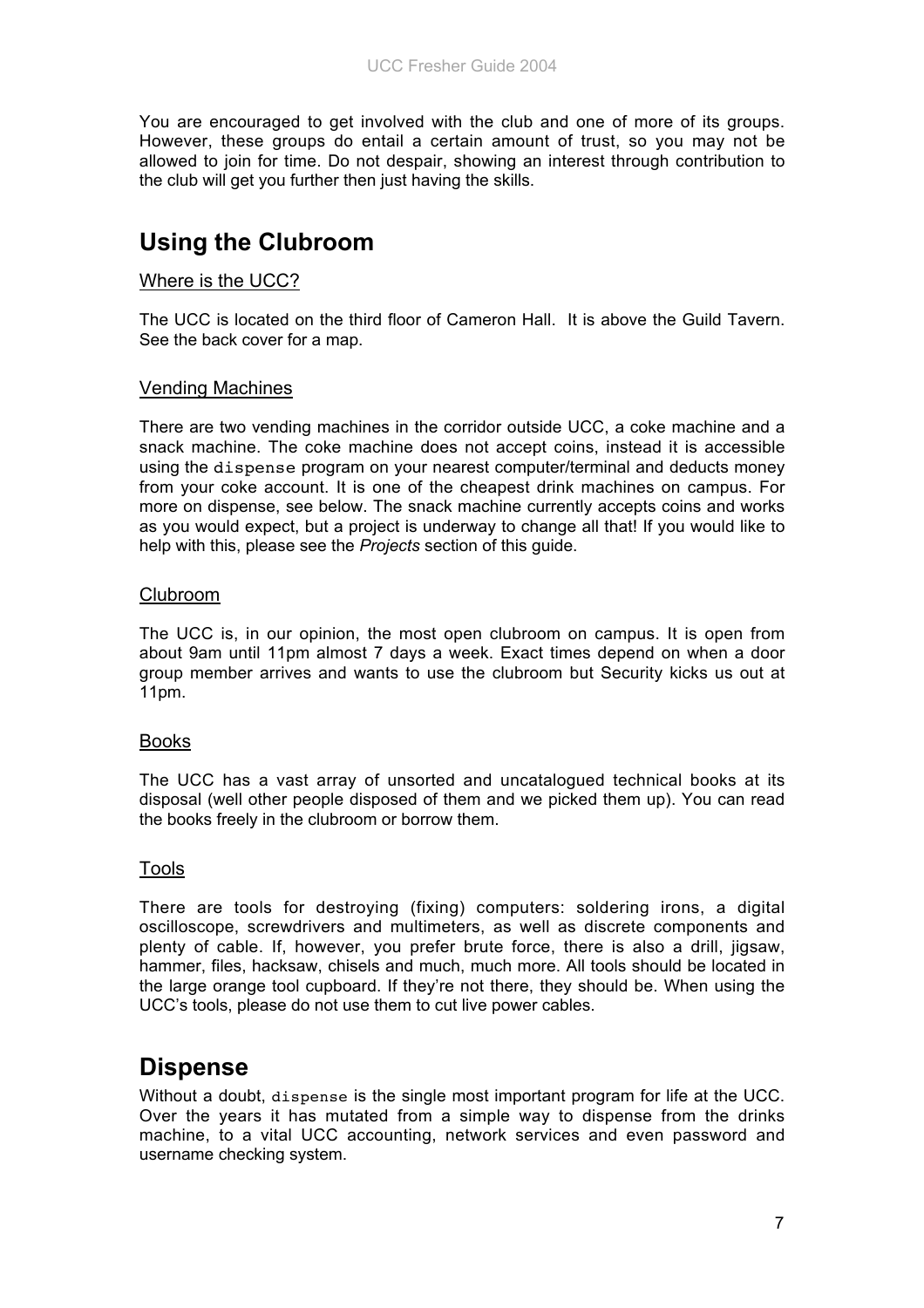You are encouraged to get involved with the club and one of more of its groups. However, these groups do entail a certain amount of trust, so you may not be allowed to join for time. Do not despair, showing an interest through contribution to the club will get you further then just having the skills.

## **Using the Clubroom**

#### Where is the UCC?

The UCC is located on the third floor of Cameron Hall. It is above the Guild Tavern. See the back cover for a map.

#### Vending Machines

There are two vending machines in the corridor outside UCC, a coke machine and a snack machine. The coke machine does not accept coins, instead it is accessible using the dispense program on your nearest computer/terminal and deducts money from your coke account. It is one of the cheapest drink machines on campus. For more on dispense, see below. The snack machine currently accepts coins and works as you would expect, but a project is underway to change all that! If you would like to help with this, please see the *Projects* section of this guide.

#### Clubroom

The UCC is, in our opinion, the most open clubroom on campus. It is open from about 9am until 11pm almost 7 days a week. Exact times depend on when a door group member arrives and wants to use the clubroom but Security kicks us out at 11pm.

#### Books

The UCC has a vast array of unsorted and uncatalogued technical books at its disposal (well other people disposed of them and we picked them up). You can read the books freely in the clubroom or borrow them.

#### Tools

There are tools for destroying (fixing) computers: soldering irons, a digital oscilloscope, screwdrivers and multimeters, as well as discrete components and plenty of cable. If, however, you prefer brute force, there is also a drill, jigsaw, hammer, files, hacksaw, chisels and much, much more. All tools should be located in the large orange tool cupboard. If they're not there, they should be. When using the UCC's tools, please do not use them to cut live power cables.

## **Dispense**

Without a doubt, dispense is the single most important program for life at the UCC. Over the years it has mutated from a simple way to dispense from the drinks machine, to a vital UCC accounting, network services and even password and username checking system.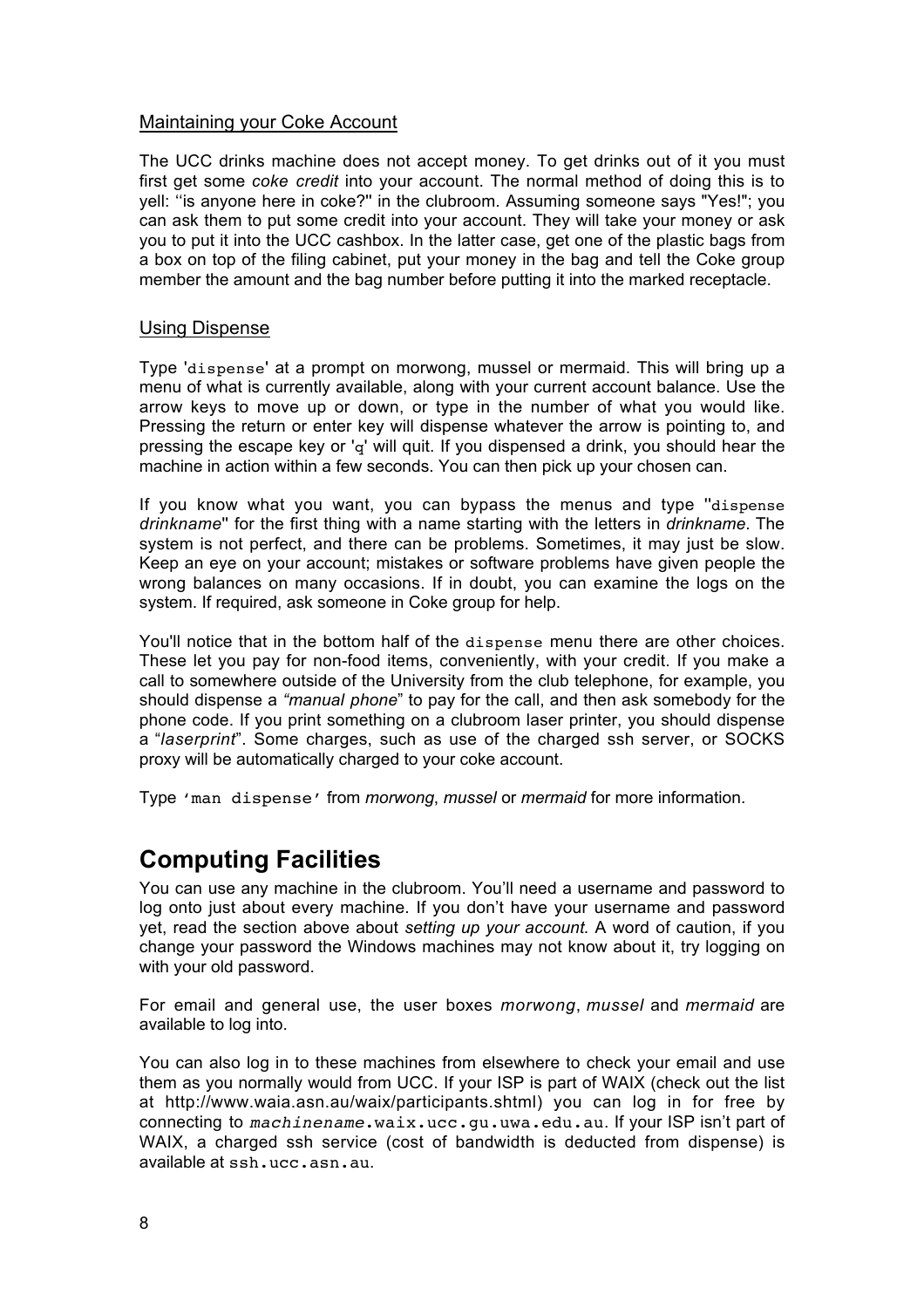#### Maintaining your Coke Account

The UCC drinks machine does not accept money. To get drinks out of it you must first get some *coke credit* into your account. The normal method of doing this is to yell: ''is anyone here in coke?'' in the clubroom. Assuming someone says "Yes!"; you can ask them to put some credit into your account. They will take your money or ask you to put it into the UCC cashbox. In the latter case, get one of the plastic bags from a box on top of the filing cabinet, put your money in the bag and tell the Coke group member the amount and the bag number before putting it into the marked receptacle.

#### Using Dispense

Type 'dispense' at a prompt on morwong, mussel or mermaid. This will bring up a menu of what is currently available, along with your current account balance. Use the arrow keys to move up or down, or type in the number of what you would like. Pressing the return or enter key will dispense whatever the arrow is pointing to, and pressing the escape key or 'q' will quit. If you dispensed a drink, you should hear the machine in action within a few seconds. You can then pick up your chosen can.

If you know what you want, you can bypass the menus and type ''dispense *drinkname*'' for the first thing with a name starting with the letters in *drinkname*. The system is not perfect, and there can be problems. Sometimes, it may just be slow. Keep an eye on your account; mistakes or software problems have given people the wrong balances on many occasions. If in doubt, you can examine the logs on the system. If required, ask someone in Coke group for help.

You'll notice that in the bottom half of the dispense menu there are other choices. These let you pay for non-food items, conveniently, with your credit. If you make a call to somewhere outside of the University from the club telephone, for example, you should dispense a *"manual phone*" to pay for the call, and then ask somebody for the phone code. If you print something on a clubroom laser printer, you should dispense a "*laserprint*". Some charges, such as use of the charged ssh server, or SOCKS proxy will be automatically charged to your coke account.

Type 'man dispense' from *morwong*, *mussel* or *mermaid* for more information.

## **Computing Facilities**

You can use any machine in the clubroom. You'll need a username and password to log onto just about every machine. If you don't have your username and password yet, read the section above about *setting up your account*. A word of caution, if you change your password the Windows machines may not know about it, try logging on with your old password.

For email and general use, the user boxes *morwong*, *mussel* and *mermaid* are available to log into.

You can also log in to these machines from elsewhere to check your email and use them as you normally would from UCC. If your ISP is part of WAIX (check out the list at http://www.waia.asn.au/waix/participants.shtml) you can log in for free by connecting to machinename.waix.ucc.gu.uwa.edu.au. If your ISP isn't part of WAIX, a charged ssh service (cost of bandwidth is deducted from dispense) is available at ssh.ucc.asn.au.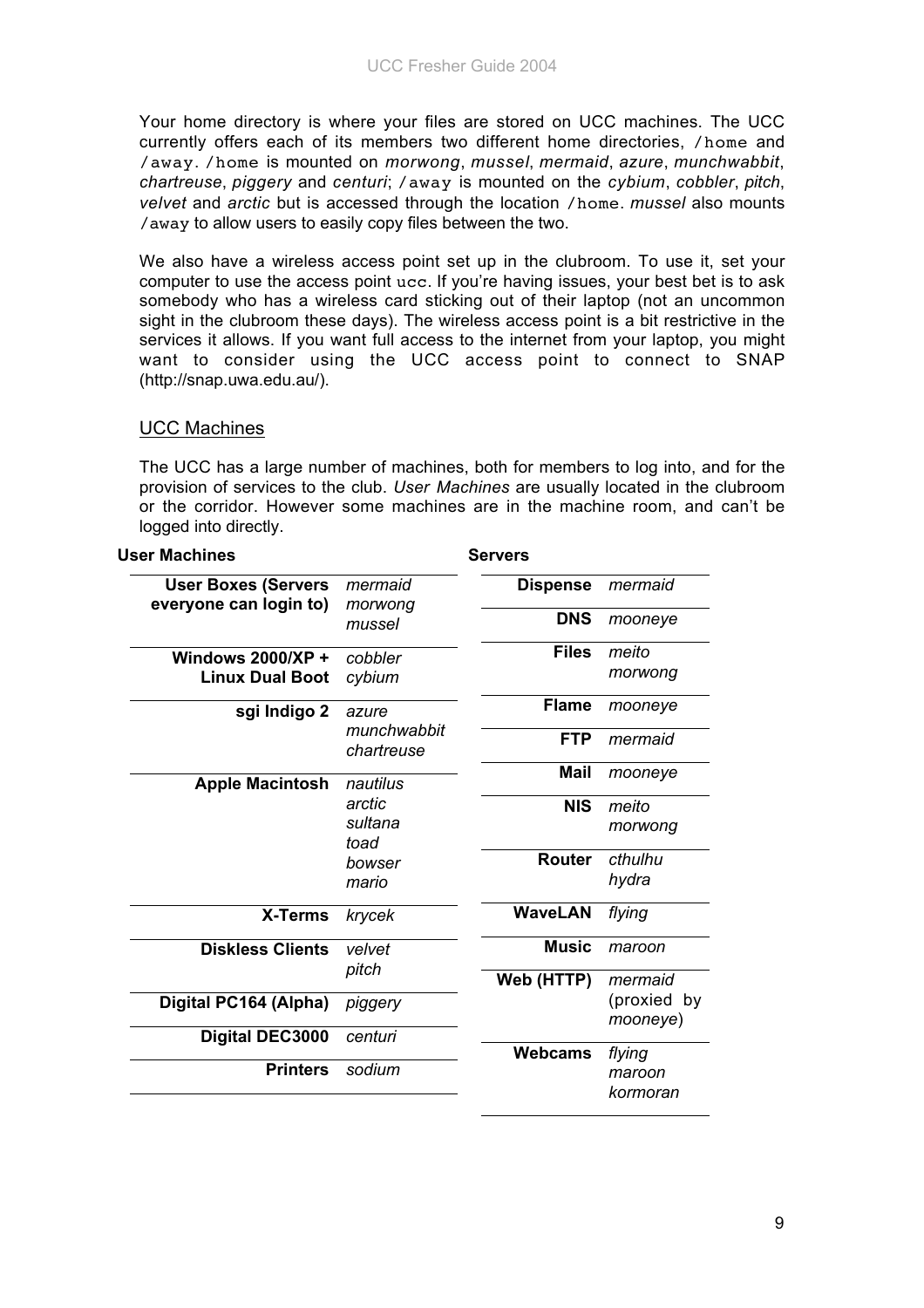Your home directory is where your files are stored on UCC machines. The UCC currently offers each of its members two different home directories, /home and /away. /home is mounted on *morwong*, *mussel*, *mermaid*, *azure*, *munchwabbit*, *chartreuse*, *piggery* and *centuri*; /away is mounted on the *cybium*, *cobbler*, *pitch*, *velvet* and *arctic* but is accessed through the location /home. *mussel* also mounts /away to allow users to easily copy files between the two.

We also have a wireless access point set up in the clubroom. To use it, set your computer to use the access point ucc. If you're having issues, your best bet is to ask somebody who has a wireless card sticking out of their laptop (not an uncommon sight in the clubroom these days). The wireless access point is a bit restrictive in the services it allows. If you want full access to the internet from your laptop, you might want to consider using the UCC access point to connect to SNAP (http://snap.uwa.edu.au/).

#### UCC Machines

The UCC has a large number of machines, both for members to log into, and for the provision of services to the club. *User Machines* are usually located in the clubroom or the corridor. However some machines are in the machine room, and can't be logged into directly.

**Servers**

| <b>User Machines</b> |  |  |
|----------------------|--|--|
|----------------------|--|--|

| <b>User Boxes (Servers</b> | mermaid                   | <b>Dispense</b> | mermaid                 |
|----------------------------|---------------------------|-----------------|-------------------------|
| everyone can login to)     | morwong                   |                 |                         |
|                            | mussel                    | <b>DNS</b>      | mooneye                 |
| Windows $2000/XP +$        | cobbler                   | <b>Files</b>    | meito                   |
| <b>Linux Dual Boot</b>     | cybium                    |                 | morwong                 |
| sgi Indigo 2               | azure                     | <b>Flame</b>    | mooneye                 |
|                            | munchwabbit<br>chartreuse | <b>FTP</b>      | mermaid                 |
| <b>Apple Macintosh</b>     | nautilus                  | <b>Mail</b>     | mooneye                 |
|                            | arctic                    | <b>NIS</b>      | meito                   |
|                            | sultana<br>toad           |                 | morwong                 |
|                            | bowser                    | <b>Router</b>   | cthulhu                 |
|                            | mario                     |                 | hydra                   |
| X-Terms                    | krycek                    | <b>WaveLAN</b>  | flying                  |
| <b>Diskless Clients</b>    | velvet                    | <b>Music</b>    | maroon                  |
|                            | pitch                     | Web (HTTP)      | mermaid                 |
| Digital PC164 (Alpha)      | piggery                   |                 | (proxied by<br>mooneye) |
| Digital DEC3000            | centuri                   |                 |                         |
|                            |                           | <b>Webcams</b>  | flying                  |
| <b>Printers</b>            | sodium                    |                 | maroon                  |
|                            |                           |                 | kormoran                |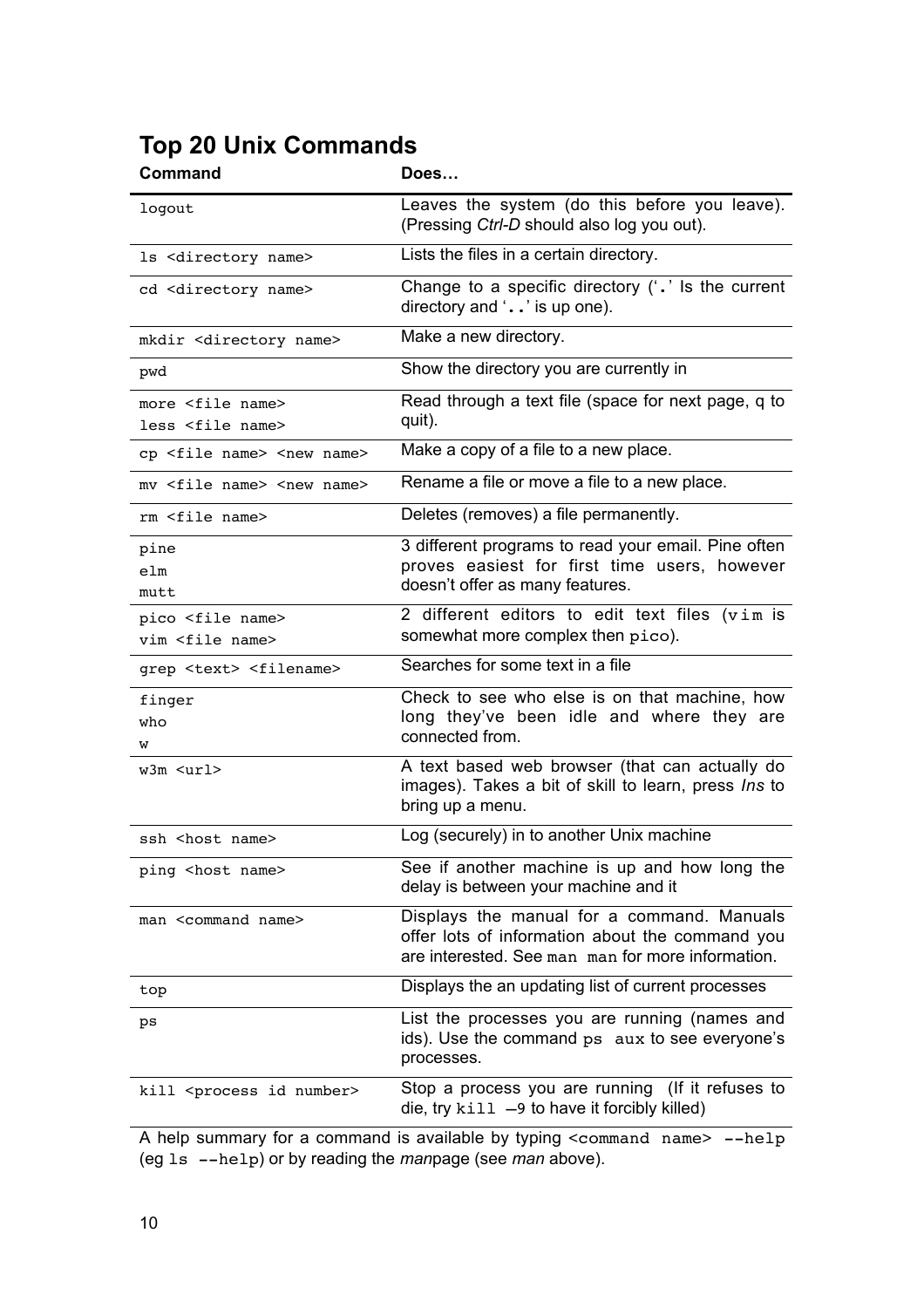# **Top 20 Unix Commands**

| <b>Command</b>                                            | Does                                                                                                                                               |
|-----------------------------------------------------------|----------------------------------------------------------------------------------------------------------------------------------------------------|
| logout                                                    | Leaves the system (do this before you leave).<br>(Pressing Ctrl-D should also log you out).                                                        |
| ls <directory name=""></directory>                        | Lists the files in a certain directory.                                                                                                            |
| cd <directory name=""></directory>                        | Change to a specific directory $(4 \cdot 7)$ is the current<br>directory and $\cdot$ . $\cdot$ is up one).                                         |
| mkdir <directory name=""></directory>                     | Make a new directory.                                                                                                                              |
| pwd                                                       | Show the directory you are currently in                                                                                                            |
| more <file name=""><br/>less <file name=""></file></file> | Read through a text file (space for next page, q to<br>quit).                                                                                      |
| cp <file name=""> <new name=""></new></file>              | Make a copy of a file to a new place.                                                                                                              |
| mv <file name=""> <new name=""></new></file>              | Rename a file or move a file to a new place.                                                                                                       |
| rm <file name=""></file>                                  | Deletes (removes) a file permanently.                                                                                                              |
| pine<br>elm<br>mutt                                       | 3 different programs to read your email. Pine often<br>proves easiest for first time users, however<br>doesn't offer as many features.             |
| pico <file name=""><br/>vim <file name=""></file></file>  | 2 different editors to edit text files (vim is<br>somewhat more complex then pico).                                                                |
| grep <text> <filename></filename></text>                  | Searches for some text in a file                                                                                                                   |
| finger<br>who<br>w                                        | Check to see who else is on that machine, how<br>long they've been idle and where they are<br>connected from.                                      |
| w3m <url></url>                                           | A text based web browser (that can actually do<br>images). Takes a bit of skill to learn, press Ins to<br>bring up a menu.                         |
| ssh <host name=""></host>                                 | Log (securely) in to another Unix machine                                                                                                          |
| ping <host name=""></host>                                | See if another machine is up and how long the<br>delay is between your machine and it                                                              |
| man <command name=""/>                                    | Displays the manual for a command. Manuals<br>offer lots of information about the command you<br>are interested. See man man for more information. |
| top                                                       | Displays the an updating list of current processes                                                                                                 |
| ps                                                        | List the processes you are running (names and<br>ids). Use the command ps aux to see everyone's<br>processes.                                      |
| kill <process id="" number=""></process>                  | Stop a process you are running (If it refuses to<br>die, try $kil1 -9$ to have it forcibly killed)                                                 |

A help summary for a command is available by typing <command name> --help (eg ls --help) or by reading the *man*page (see *man* above).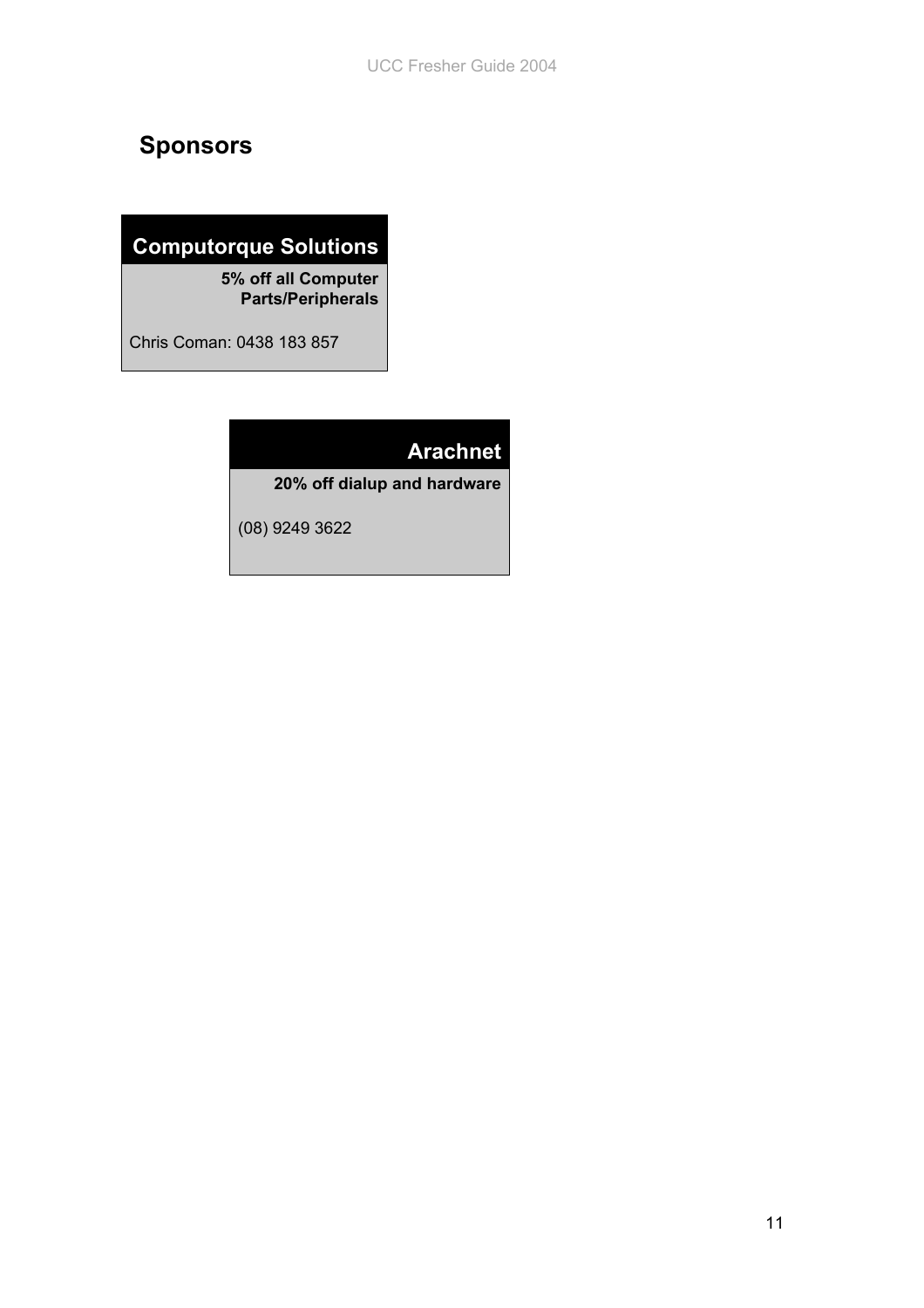# **Sponsors**

## **Computorque Solutions**

**5% off all Computer Parts/Peripherals**

Chris Coman: 0438 183 857

## **Arachnet**

**20% off dialup and hardware**

(08) 9249 3622